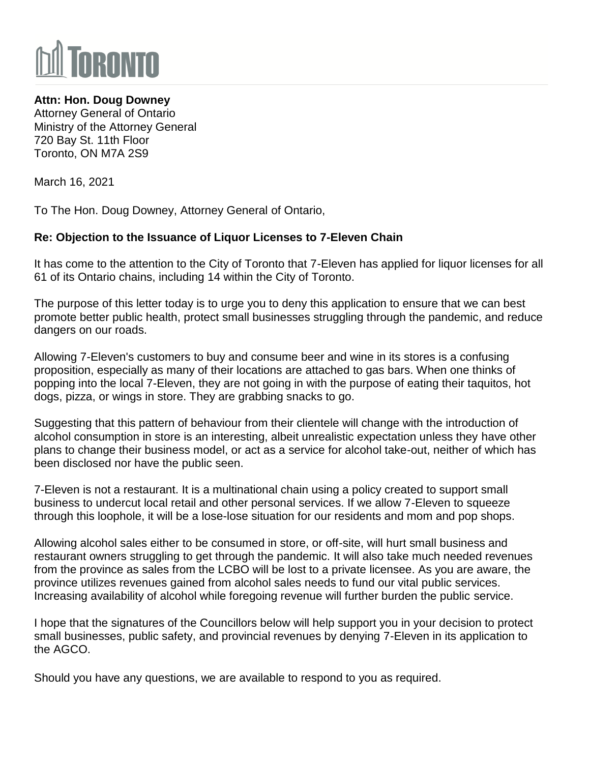

## **Attn: Hon. Doug Downey**

Attorney General of Ontario Ministry of the Attorney General 720 Bay St. 11th Floor Toronto, ON M7A 2S9

March 16, 2021

To The Hon. Doug Downey, Attorney General of Ontario,

## **Re: Objection to the Issuance of Liquor Licenses to 7-Eleven Chain**

It has come to the attention to the City of Toronto that 7-Eleven has applied for liquor licenses for all 61 of its Ontario chains, including 14 within the City of Toronto.

The purpose of this letter today is to urge you to deny this application to ensure that we can best promote better public health, protect small businesses struggling through the pandemic, and reduce dangers on our roads.

Allowing 7-Eleven's customers to buy and consume beer and wine in its stores is a confusing proposition, especially as many of their locations are attached to gas bars. When one thinks of popping into the local 7-Eleven, they are not going in with the purpose of eating their taquitos, hot dogs, pizza, or wings in store. They are grabbing snacks to go.

Suggesting that this pattern of behaviour from their clientele will change with the introduction of alcohol consumption in store is an interesting, albeit unrealistic expectation unless they have other plans to change their business model, or act as a service for alcohol take-out, neither of which has been disclosed nor have the public seen.

7-Eleven is not a restaurant. It is a multinational chain using a policy created to support small business to undercut local retail and other personal services. If we allow 7-Eleven to squeeze through this loophole, it will be a lose-lose situation for our residents and mom and pop shops.

Allowing alcohol sales either to be consumed in store, or off-site, will hurt small business and restaurant owners struggling to get through the pandemic. It will also take much needed revenues from the province as sales from the LCBO will be lost to a private licensee. As you are aware, the province utilizes revenues gained from alcohol sales needs to fund our vital public services. Increasing availability of alcohol while foregoing revenue will further burden the public service.

I hope that the signatures of the Councillors below will help support you in your decision to protect small businesses, public safety, and provincial revenues by denying 7-Eleven in its application to the AGCO.

Should you have any questions, we are available to respond to you as required.